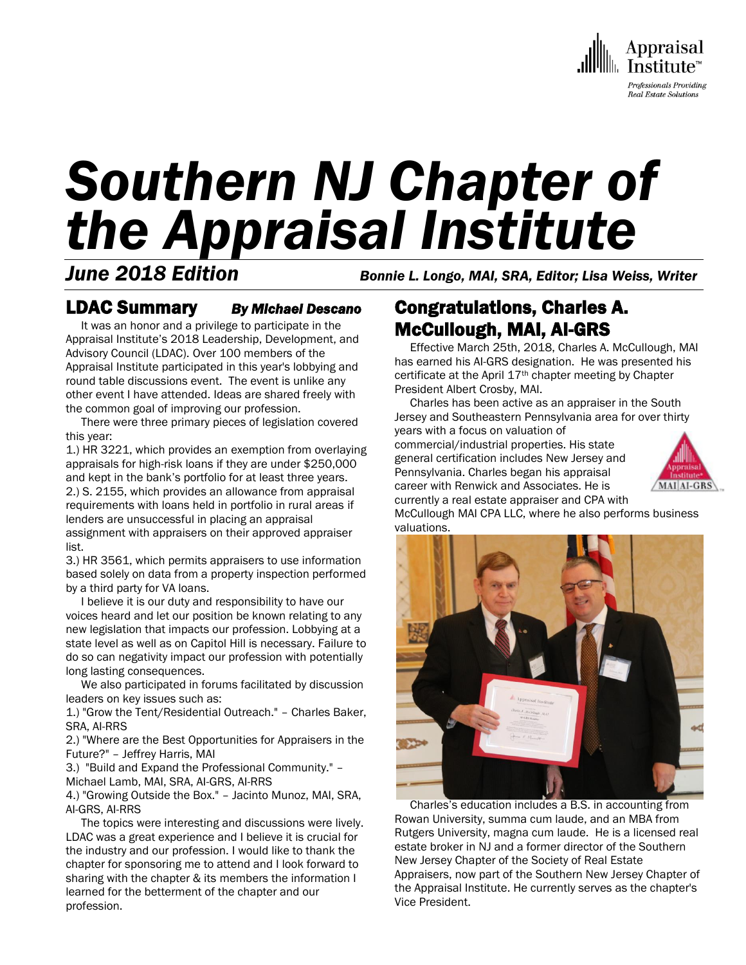

# *Southern NJ Chapter of the Appraisal Institute*

*June 2018 Edition Bonnie L. Longo, MAI, SRA, Editor; Lisa Weiss, Writer*

#### LDAC Summary *By Michael Descano*

 It was an honor and a privilege to participate in the Appraisal Institute's 2018 Leadership, Development, and Advisory Council (LDAC). Over 100 members of the Appraisal Institute participated in this year's lobbying and round table discussions event. The event is unlike any other event I have attended. Ideas are shared freely with the common goal of improving our profession.

 There were three primary pieces of legislation covered this year:

1.) HR 3221, which provides an exemption from overlaying appraisals for high-risk loans if they are under \$250,000 and kept in the bank's portfolio for at least three years. 2.) S. 2155, which provides an allowance from appraisal requirements with loans held in portfolio in rural areas if lenders are unsuccessful in placing an appraisal assignment with appraisers on their approved appraiser list.

3.) HR 3561, which permits appraisers to use information based solely on data from a property inspection performed by a third party for VA loans.

 I believe it is our duty and responsibility to have our voices heard and let our position be known relating to any new legislation that impacts our profession. Lobbying at a state level as well as on Capitol Hill is necessary. Failure to do so can negativity impact our profession with potentially long lasting consequences.

 We also participated in forums facilitated by discussion leaders on key issues such as:

1.) "Grow the Tent/Residential Outreach." – Charles Baker, SRA, AI-RRS

2.) "Where are the Best Opportunities for Appraisers in the Future?" – Jeffrey Harris, MAI

3.) "Build and Expand the Professional Community." – Michael Lamb, MAI, SRA, AI-GRS, AI-RRS

4.) "Growing Outside the Box." – Jacinto Munoz, MAI, SRA, AI-GRS, AI-RRS

 The topics were interesting and discussions were lively. LDAC was a great experience and I believe it is crucial for the industry and our profession. I would like to thank the chapter for sponsoring me to attend and I look forward to sharing with the chapter & its members the information I learned for the betterment of the chapter and our profession.

Congratulations, Charles A. McCullough, MAI, AI-GRS

 Effective March 25th, 2018, Charles A. McCullough, MAI has earned his AI-GRS designation. He was presented his certificate at the April 17<sup>th</sup> chapter meeting by Chapter President Albert Crosby, MAI.

 Charles has been active as an appraiser in the South Jersey and Southeastern Pennsylvania area for over thirty years with a focus on valuation of

commercial/industrial properties. His state general certification includes New Jersey and Pennsylvania. Charles began his appraisal career with Renwick and Associates. He is currently a real estate appraiser and CPA with



McCullough MAI CPA LLC, where he also performs business valuations.



 Charles's education includes a B.S. in accounting from Rowan University, summa cum laude, and an MBA from Rutgers University, magna cum laude. He is a licensed real estate broker in NJ and a former director of the Southern New Jersey Chapter of the Society of Real Estate Appraisers, now part of the Southern New Jersey Chapter of the Appraisal Institute. He currently serves as the chapter's Vice President.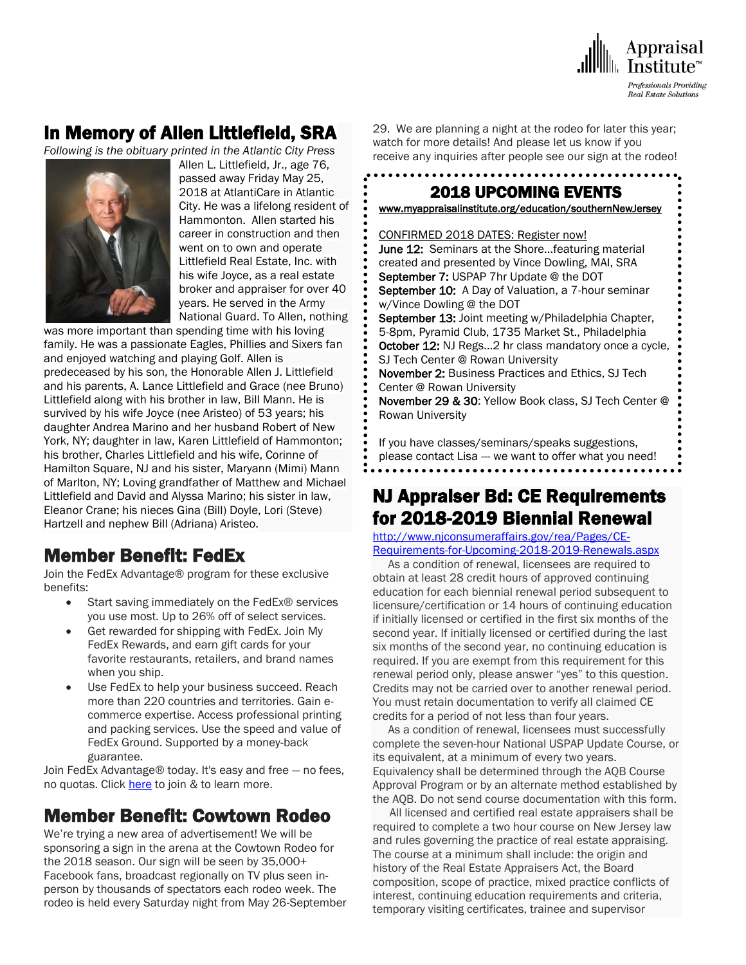

## In Memory of Allen Littlefield, SRA

*Following is the obituary printed in the Atlantic City Press*



Allen L. Littlefield, Jr., age 76, passed away Friday May 25, 2018 at AtlantiCare in Atlantic City. He was a lifelong resident of Hammonton. Allen started his career in construction and then went on to own and operate Littlefield Real Estate, Inc. with his wife Joyce, as a real estate broker and appraiser for over 40 years. He served in the Army National Guard. To Allen, nothing

was more important than spending time with his loving family. He was a passionate Eagles, Phillies and Sixers fan and enjoyed watching and playing Golf. Allen is predeceased by his son, the Honorable Allen J. Littlefield and his parents, A. Lance Littlefield and Grace (nee Bruno) Littlefield along with his brother in law, Bill Mann. He is survived by his wife Joyce (nee Aristeo) of 53 years; his daughter Andrea Marino and her husband Robert of New York, NY; daughter in law, Karen Littlefield of Hammonton; his brother, Charles Littlefield and his wife, Corinne of Hamilton Square, NJ and his sister, Maryann (Mimi) Mann of Marlton, NY; Loving grandfather of Matthew and Michael Littlefield and David and Alyssa Marino; his sister in law, Eleanor Crane; his nieces Gina (Bill) Doyle, Lori (Steve) Hartzell and nephew Bill (Adriana) Aristeo.

#### Member Benefit: FedEx

Join the FedEx Advantage® program for these exclusive benefits:

- Start saving immediately on the FedEx® services you use most. Up to 26% off of select services.
- Get rewarded for shipping with FedEx. Join My FedEx Rewards, and earn gift cards for your favorite restaurants, retailers, and brand names when you ship.
- Use FedEx to help your business succeed. Reach more than 220 countries and territories. Gain ecommerce expertise. Access professional printing and packing services. Use the speed and value of FedEx Ground. Supported by a money-back guarantee.

Join FedEx Advantage® today. It's easy and free — no fees, no quotas. Click [here](http://send.appraisalinstitute.org/link.cfm?r=TyxXOooBFM-9kcaVyjABIA~~&pe=QbhJ6FcEs82pzKkw04qU1QYVYKwQO4C4drKIk2umUzJYjwLL-gUCl_swidJ9_NnAxvBWI-lUQHpFMpGROcI3vg~~&t=w6f89n8eMUGniVeGsP6slQ~~) to join & to learn more.

## Member Benefit: Cowtown Rodeo

We're trying a new area of advertisement! We will be sponsoring a sign in the arena at the Cowtown Rodeo for the 2018 season. Our sign will be seen by 35,000+ Facebook fans, broadcast regionally on TV plus seen inperson by thousands of spectators each rodeo week. The rodeo is held every Saturday night from May 26-September 29. We are planning a night at the rodeo for later this year; watch for more details! And please let us know if you receive any inquiries after people see our sign at the rodeo!

#### $\overline{a}$ 2018 UPCOMING EVENTS

[www.myappraisalinstitute.org/education/southernNewJersey](http://www.myappraisalinstitute.org/education/southernNewJersey)

 CONFIRMED 2018 DATES: Register now! June 12: Seminars at the Shore...featuring material created and presented by Vince Dowling, MAI, SRA September 7: USPAP 7hr Update @ the DOT September 10: A Day of Valuation, a 7-hour seminar w/Vince Dowling @ the DOT September 13: Joint meeting w/Philadelphia Chapter, 5-8pm, Pyramid Club, 1735 Market St., Philadelphia **October 12:** NJ Regs...2 hr class mandatory once a cycle, SJ Tech Center @ Rowan University November 2: Business Practices and Ethics, SJ Tech Center @ Rowan University November 29 & 30: Yellow Book class, SJ Tech Center @ Rowan University

 If you have classes/seminars/speaks suggestions, please contact Lisa --- we want to offer what you need!  $\overline{\phantom{0}}$ 

### NJ Appraiser Bd: CE Requirements for 2018-2019 Biennial Renewal

#### [http://www.njconsumeraffairs.gov/rea/Pages/CE-](http://www.njconsumeraffairs.gov/rea/Pages/CE-Requirements-for-Upcoming-2018-2019-Renewals.aspx)[Requirements-for-Upcoming-2018-2019-Renewals.aspx](http://www.njconsumeraffairs.gov/rea/Pages/CE-Requirements-for-Upcoming-2018-2019-Renewals.aspx)

 As a condition of renewal, licensees are required to obtain at least 28 credit hours of approved continuing education for each biennial renewal period subsequent to licensure/certification or 14 hours of continuing education if initially licensed or certified in the first six months of the second year. If initially licensed or certified during the last six months of the second year, no continuing education is required. If you are exempt from this requirement for this renewal period only, please answer "yes" to this question. Credits may not be carried over to another renewal period. You must retain documentation to verify all claimed CE credits for a period of not less than four years.

 As a condition of renewal, licensees must successfully complete the seven-hour National USPAP Update Course, or its equivalent, at a minimum of every two years. Equivalency shall be determined through the AQB Course Approval Program or by an alternate method established by the AQB. Do not send course documentation with this form.

 All licensed and certified real estate appraisers shall be required to complete a two hour course on New Jersey law and rules governing the practice of real estate appraising. The course at a minimum shall include: the origin and history of the Real Estate Appraisers Act, the Board composition, scope of practice, mixed practice conflicts of interest, continuing education requirements and criteria, temporary visiting certificates, trainee and supervisor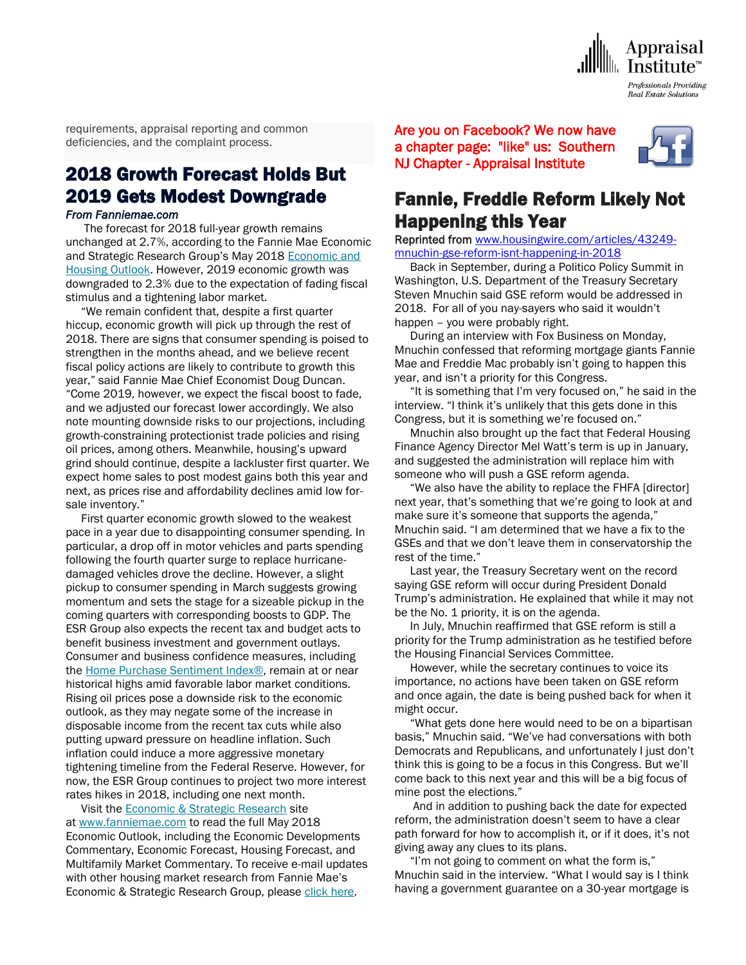

requirements, appraisal reporting and common deficiencies, and the complaint process.

## 2018 Growth Forecast Holds But 2019 Gets Modest Downgrade

#### *From Fanniemae.com*

 The forecast for 2018 full-year growth remains unchanged at 2.7%, according to the Fannie Mae Economic and Strategic Research Group's May 2018 [Economic and](http://www.fanniemae.com/portal/research-insights/forecast.html?utm_source=fmcom&utm_medium=fmhome&utm_campaign=esroutlook051718)  [Housing Outlook.](http://www.fanniemae.com/portal/research-insights/forecast.html?utm_source=fmcom&utm_medium=fmhome&utm_campaign=esroutlook051718) However, 2019 economic growth was downgraded to 2.3% due to the expectation of fading fiscal stimulus and a tightening labor market.

 "We remain confident that, despite a first quarter hiccup, economic growth will pick up through the rest of 2018. There are signs that consumer spending is poised to strengthen in the months ahead, and we believe recent fiscal policy actions are likely to contribute to growth this year," said Fannie Mae Chief Economist Doug Duncan. "Come 2019, however, we expect the fiscal boost to fade, and we adjusted our forecast lower accordingly. We also note mounting downside risks to our projections, including growth-constraining protectionist trade policies and rising oil prices, among others. Meanwhile, housing's upward grind should continue, despite a lackluster first quarter. We expect home sales to post modest gains both this year and next, as prices rise and affordability declines amid low forsale inventory."

 First quarter economic growth slowed to the weakest pace in a year due to disappointing consumer spending. In particular, a drop off in motor vehicles and parts spending following the fourth quarter surge to replace hurricanedamaged vehicles drove the decline. However, a slight pickup to consumer spending in March suggests growing momentum and sets the stage for a sizeable pickup in the coming quarters with corresponding boosts to GDP. The ESR Group also expects the recent tax and budget acts to benefit business investment and government outlays. Consumer and business confidence measures, including the [Home Purchase Sentiment Index®,](http://fanniemae.com/portal/research-insights/surveys/national-housing-survey.html?utm_source=email&utm_medium=esrnews&utm_campaign=hpsi050718) remain at or near historical highs amid favorable labor market conditions. Rising oil prices pose a downside risk to the economic outlook, as they may negate some of the increase in disposable income from the recent tax cuts while also putting upward pressure on headline inflation. Such inflation could induce a more aggressive monetary tightening timeline from the Federal Reserve. However, for now, the ESR Group continues to project two more interest rates hikes in 2018, including one next month.

Visit the [Economic & Strategic Research](http://www.fanniemae.com/portal/research-insights/forecast.html?utm_source=fmcom&utm_medium=fmhome&utm_campaign=esroutlook051718) site at [www.fanniemae.com](http://www.fanniemae.com/) to read the full May 2018 Economic Outlook, including the Economic Developments Commentary, Economic Forecast, Housing Forecast, and Multifamily Market Commentary. To receive e-mail updates with other housing market research from Fannie Mae's Economic & Strategic Research Group, please [click here.](http://www.fanniemae.com/portal/research-insights/esr-signup.html)

Are you on Facebook? We now have a chapter page: "like" us: Southern NJ Chapter - Appraisal Institute



#### Fannie, Freddie Reform Likely Not Happening this Year

Reprinted from [www.housingwire.com/articles/43249](http://www.housingwire.com/articles/43249-mnuchin-gse-reform-isnt-happening-in-2018) [mnuchin-gse-reform-isnt-happening-in-2018](http://www.housingwire.com/articles/43249-mnuchin-gse-reform-isnt-happening-in-2018) 

 Back in September, during a Politico Policy Summit in Washington, U.S. Department of the Treasury Secretary Steven Mnuchin said GSE reform would be addressed in 2018. For all of you nay-sayers who said it wouldn't happen – you were probably right.

 During an interview with Fox Business on Monday, Mnuchin confessed that reforming mortgage giants Fannie Mae and Freddie Mac probably isn't going to happen this year, and isn't a priority for this Congress.

 "It is something that I'm very focused on," he said in the interview. "I think it's unlikely that this gets done in this Congress, but it is something we're focused on."

 Mnuchin also brought up the fact that Federal Housing Finance Agency Director Mel Watt's term is up in January, and suggested the administration will replace him with someone who will push a GSE reform agenda.

 "We also have the ability to replace the FHFA [director] next year, that's something that we're going to look at and make sure it's someone that supports the agenda," Mnuchin said. "I am determined that we have a fix to the GSEs and that we don't leave them in conservatorship the rest of the time."

 Last year, the Treasury Secretary went on the record saying GSE reform will occur during President Donald Trump's administration. He explained that while it may not be the No. 1 priority, it is on the agenda.

 In July, Mnuchin reaffirmed that GSE reform is still a priority for the Trump administration as he testified before the Housing Financial Services Committee.

 However, while the secretary continues to voice its importance, no actions have been taken on GSE reform and once again, the date is being pushed back for when it might occur.

 "What gets done here would need to be on a bipartisan basis," Mnuchin said. "We've had conversations with both Democrats and Republicans, and unfortunately I just don't think this is going to be a focus in this Congress. But we'll come back to this next year and this will be a big focus of mine post the elections."

 And in addition to pushing back the date for expected reform, the administration doesn't seem to have a clear path forward for how to accomplish it, or if it does, it's not giving away any clues to its plans.

 "I'm not going to comment on what the form is," Mnuchin said in the interview. "What I would say is I think having a government guarantee on a 30-year mortgage is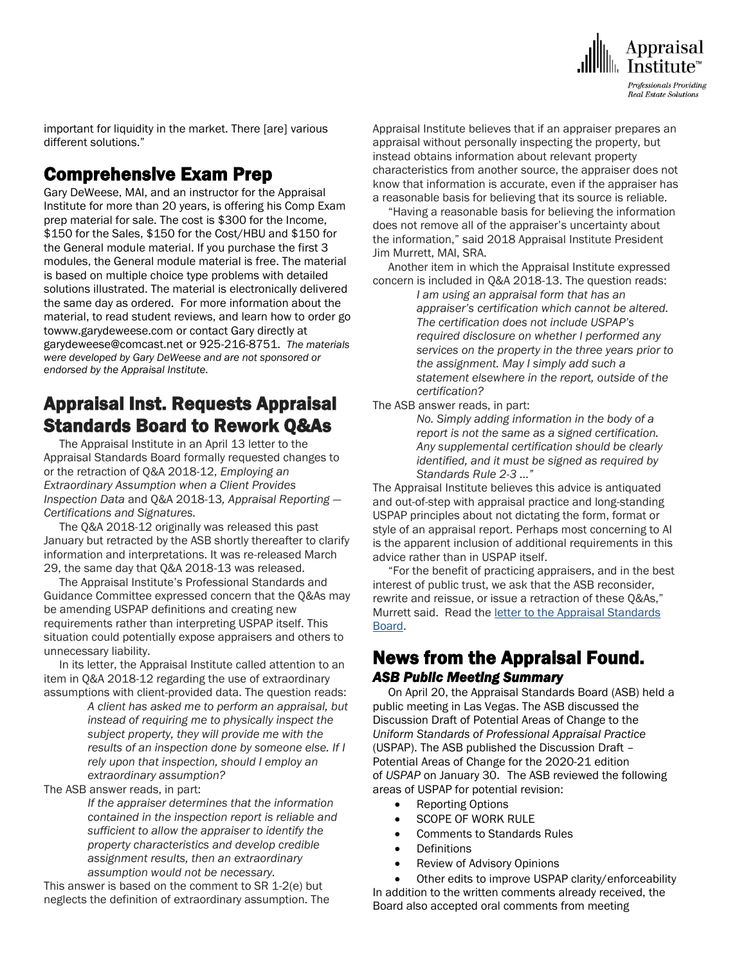

important for liquidity in the market. There [are] various different solutions."

## Comprehensive Exam Prep

Gary DeWeese, MAI, and an instructor for the Appraisal Institute for more than 20 years, is offering his Comp Exam prep material for sale. The cost is \$300 for the Income, \$150 for the Sales, \$150 for the Cost/HBU and \$150 for the General module material. If you purchase the first 3 modules, the General module material is free. The material is based on multiple choice type problems with detailed solutions illustrated. The material is electronically delivered the same day as ordered. For more information about the material, to read student reviews, and learn how to order go towww.garydeweese.com or contact Gary directly at garydeweese@comcast.net or 925-216-8751. *The materials were developed by Gary DeWeese and are not sponsored or endorsed by the Appraisal Institute.*

## Appraisal Inst. Requests Appraisal Standards Board to Rework Q&As

 The Appraisal Institute in an April 13 letter to the Appraisal Standards Board formally requested changes to or the retraction of Q&A 2018-12, *Employing an Extraordinary Assumption when a Client Provides Inspection Data* and Q&A 2018-13*, Appraisal Reporting — Certifications and Signatures.*

 The Q&A 2018-12 originally was released this past January but retracted by the ASB shortly thereafter to clarify information and interpretations. It was re-released March 29, the same day that Q&A 2018-13 was released.

 The Appraisal Institute's Professional Standards and Guidance Committee expressed concern that the Q&As may be amending USPAP definitions and creating new requirements rather than interpreting USPAP itself. This situation could potentially expose appraisers and others to unnecessary liability.

 In its letter, the Appraisal Institute called attention to an item in Q&A 2018-12 regarding the use of extraordinary assumptions with client-provided data. The question reads:

*A client has asked me to perform an appraisal, but instead of requiring me to physically inspect the subject property, they will provide me with the results of an inspection done by someone else. If I rely upon that inspection, should I employ an extraordinary assumption?*

The ASB answer reads, in part:

*If the appraiser determines that the information contained in the inspection report is reliable and sufficient to allow the appraiser to identify the property characteristics and develop credible assignment results, then an extraordinary assumption would not be necessary.*

This answer is based on the comment to SR 1-2(e) but neglects the definition of extraordinary assumption. The Appraisal Institute believes that if an appraiser prepares an appraisal without personally inspecting the property, but instead obtains information about relevant property characteristics from another source, the appraiser does not know that information is accurate, even if the appraiser has a reasonable basis for believing that its source is reliable.

 "Having a reasonable basis for believing the information does not remove all of the appraiser's uncertainty about the information," said 2018 Appraisal Institute President Jim Murrett, MAI, SRA.

 Another item in which the Appraisal Institute expressed concern is included in Q&A 2018-13. The question reads:

*I am using an appraisal form that has an appraiser's certification which cannot be altered. The certification does not include USPAP's required disclosure on whether I performed any services on the property in the three years prior to the assignment. May I simply add such a statement elsewhere in the report, outside of the certification?*

The ASB answer reads, in part:

*No. Simply adding information in the body of a report is not the same as a signed certification. Any supplemental certification should be clearly identified, and it must be signed as required by Standards Rule 2-3 …"*

The Appraisal Institute believes this advice is antiquated and out-of-step with appraisal practice and long-standing USPAP principles about not dictating the form, format or style of an appraisal report. Perhaps most concerning to AI is the apparent inclusion of additional requirements in this advice rather than in USPAP itself.

 "For the benefit of practicing appraisers, and in the best interest of public trust, we ask that the ASB reconsider, rewrite and reissue, or issue a retraction of these Q&As," Murrett said. Read the [letter to the Appraisal Standards](https://www.appraisalinstitute.org/file.aspx?DocumentId=2027)  [Board.](https://www.appraisalinstitute.org/file.aspx?DocumentId=2027)

#### News from the Appraisal Found. *ASB Public Meeting Summary*

 On April 20, the Appraisal Standards Board (ASB) held a public meeting in Las Vegas. The ASB discussed the Discussion Draft of Potential Areas of Change to the *Uniform Standards of Professional Appraisal Practice*  (USPAP). The ASB published the Discussion Draft – Potential Areas of Change for the 2020-21 edition of *USPAP* on January 30. The ASB reviewed the following areas of USPAP for potential revision:

- Reporting Options
- **SCOPE OF WORK RULE**
- Comments to Standards Rules
- **Definitions**
- Review of Advisory Opinions

 Other edits to improve USPAP clarity/enforceability In addition to the written comments already received, the

Board also accepted oral comments from meeting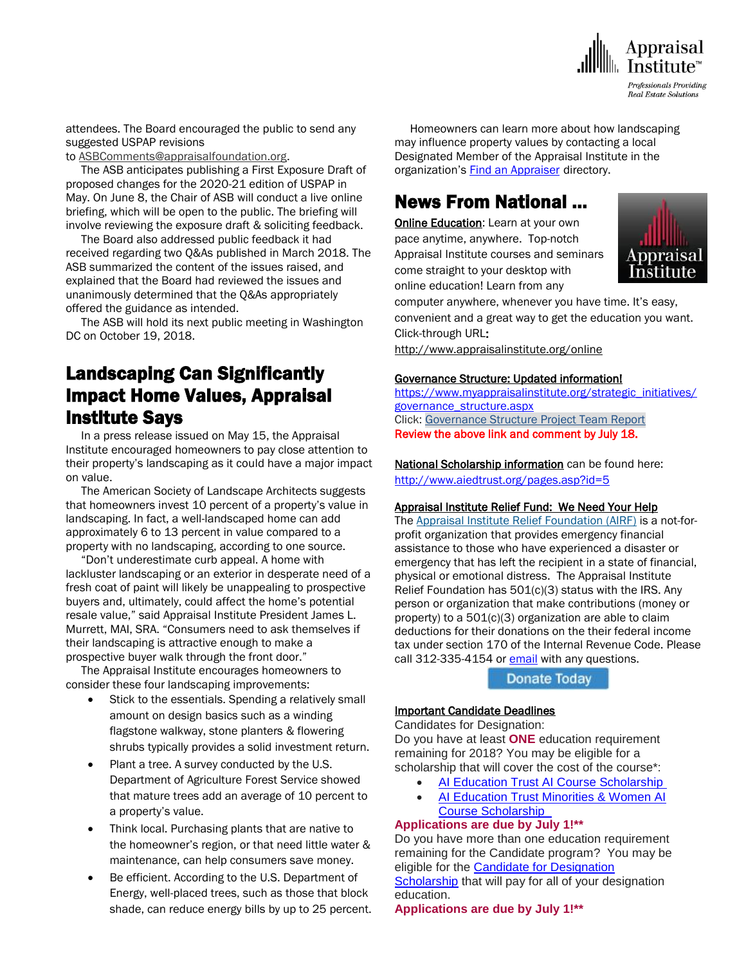

attendees. The Board encouraged the public to send any suggested USPAP revisions

to [ASBComments@appraisalfoundation.org.](mailto:ASBComments@appraisalfoundation.org)

 The ASB anticipates publishing a First Exposure Draft of proposed changes for the 2020-21 edition of USPAP in May. On June 8, the Chair of ASB will conduct a live online briefing, which will be open to the public. The briefing will involve reviewing the exposure draft & soliciting feedback.

 The Board also addressed public feedback it had received regarding two Q&As published in March 2018. The ASB summarized the content of the issues raised, and explained that the Board had reviewed the issues and unanimously determined that the Q&As appropriately offered the guidance as intended.

 The ASB will hold its next public meeting in Washington DC on [October 19, 2018.](http://click.icptrack.com/icp/relay.php?r=12565992&msgid=425930&act=OH2R&c=1337144&destination=https%3A%2F%2Fappraisalfoundation.org%2Fimis%2FTAF%2FEvents%2FTAF%2FEvents.aspx%3Fhkey%3D818823c2-a534-4506-8c29-a7217c346c64)

## Landscaping Can Significantly Impact Home Values, Appraisal Institute Says

 In a press release issued on May 15, the Appraisal Institute encouraged homeowners to pay close attention to their property's landscaping as it could have a major impact on value.

 The American Society of Landscape Architects suggests that homeowners invest 10 percent of a property's value in landscaping. In fact, a well-landscaped home can add approximately 6 to 13 percent in value compared to a property with no landscaping, according to one source.

 "Don't underestimate curb appeal. A home with lackluster landscaping or an exterior in desperate need of a fresh coat of paint will likely be unappealing to prospective buyers and, ultimately, could affect the home's potential resale value," said Appraisal Institute President James L. Murrett, MAI, SRA. "Consumers need to ask themselves if their landscaping is attractive enough to make a prospective buyer walk through the front door."

 The Appraisal Institute encourages homeowners to consider these four landscaping improvements:

- Stick to the essentials. Spending a relatively small amount on design basics such as a winding flagstone walkway, stone planters & flowering shrubs typically provides a solid investment return.
- Plant a tree. A survey conducted by the U.S. Department of Agriculture Forest Service showed that mature trees add an average of 10 percent to a property's value.
- Think local. Purchasing plants that are native to the homeowner's region, or that need little water & maintenance, can help consumers save money.
- Be efficient. According to the U.S. Department of Energy, well-placed trees, such as those that block shade, can reduce energy bills by up to 25 percent.

 Homeowners can learn more about how landscaping may influence property values by contacting a local Designated Member of the Appraisal Institute in the organization's **[Find an Appraiser](http://email.prnewswire.com/wf/click?upn=hQPTvM7kmxKCxsdOmvrSxElrh2HOzmAs6nfX8FZccNoWWi08LbYebFcASHj4Dui6TRNfoxe1GrAufGP169WKnIFJANuqrfFO60ul6i1BXI889vkFpllmimibf74UQDBkShtxtJr7FZ0dEQESYixD2k5bHNUcHv3HmH-2FP-2BzzrsmZC2q-2FwJgxqxOsLgptTa6f5dQEcXLqWjB8J0dHPH36VUjALl2465Ih2ZOUb4-2BmGyEzJuinVUtw3DmOkLriNKgZHkTfa01zRAv92nodQkwgyZA-3D-3D_YRPfbc9BSCpXKTgdcsJ3-2BdZ9g32aJO-2Biq53XIHTGXdPSCWuUi9-2BY6YFy98ZD0OCM1dFWPhTf5GtMiTgYfWdpZyHzg35WXcXZEp9cCt7oo86qOPItsNj5knHiprH0vtHoK5G-2BQhXECWAwEak9aaVv65YaTImPMmchyoB4Ui9YbMn2saHhdCEKruEml0gMy-2F1CN0y9aLUexi7OtLQtjG8aySpipKNIA8UJktL-2F0pFY9UN3RKhol5wfUAzfUxfs0OXxf4kIxZXgSNdVs7W-2BsKNSmi670viuB-2BxIZ6dDJDC5XwjqA6T2ap16I6aZQB1ar-2BlgMt83PogTaZOPv-2Ba4IlcPjA-3D-3D)** directory.

## News From National …

**[Online Education:](http://www.mmsend50.com/ls.cfm?r=99596491&sid=8974475&m=957997&u=Appraise&s=http://www.appraisalinstitute.org/online) Learn at your own** pace anytime, anywhere. Top-notch Appraisal Institute courses and seminars come straight to your desktop with online education! Learn from any



computer anywhere, whenever you have time. It's easy, convenient and a great way to get the education you want. Click-through URL:

[http://www.appraisalinstitute.org/online](http://www.mmsend50.com/ls.cfm?r=99596491&sid=8974477&m=957997&u=Appraise&s=http://www.appraisalinstitute.org/online)

#### Governance Structure: Updated information!

[https://www.myappraisalinstitute.org/strategic\\_initiatives/](https://www.myappraisalinstitute.org/strategic_initiatives/governance_structure.aspx) [governance\\_structure.aspx](https://www.myappraisalinstitute.org/strategic_initiatives/governance_structure.aspx) Click: [Governance Structure Project Team Report](https://www.appraisalinstitute.org/file.aspx?DocumentId=2043&_ga=2.81755991.1316944217.1527617958-1417307880.1476660848) Review the above link and comment by July 18.

National Scholarship information can be found here: <http://www.aiedtrust.org/pages.asp?id=5>

#### Appraisal Institute Relief Fund: We Need Your Help

The [Appraisal Institute Relief Foundation \(AIRF\)](http://send.appraisalinstitute.org/link.cfm?r=b0cu52FEpQ5beQ1mo2g1Ag~~&pe=tk_FHh1loQtdo4qUJyWR5RHLYBx7c0f6WYZDh9hX4VE_7_vzuz4FsVclEUog0MOe55yrZMXkbsOM8IHpG_PQDQ~~) is a not-forprofit organization that provides emergency financial assistance to those who have experienced a disaster or emergency that has left the recipient in a state of financial, physical or emotional distress. The Appraisal Institute Relief Foundation has 501(c)(3) status with the IRS. Any person or organization that make contributions (money or property) to a 501(c)(3) organization are able to claim deductions for their donations on the their federal income tax under section 170 of the Internal Revenue Code. Please call 312-335-4154 or [email](mailto:relieffoundation@appraisalinstitute.org) with any questions.

Donate Today

#### Important Candidate Deadlines

Candidates for Designation:

Do you have at least **ONE** education requirement remaining for 2018? You may be eligible for a scholarship that will cover the cost of the course\*:

- [AI Education Trust AI Course Scholarship](http://send.appraisalinstitute.org/link.cfm?r=b0cu52FEpQ5beQ1mo2g1Ag~~&pe=fhCSY6cT6EhvKRhhTV6JtK2BHyZkaF5swwcrrGaMzasw8GEHlOh5BxyYgPI2tDJtZewGSrTqpxXBT5PZeOYtKw~~&t=Od5gj6DfNc23YhQ1FfepPg~~)
- [AI Education Trust Minorities & Women AI](http://send.appraisalinstitute.org/link.cfm?r=b0cu52FEpQ5beQ1mo2g1Ag~~&pe=8TTgRoovCHjarGW8Pfyz0CSQuBxmwgnxqwreMAh1GYV6aV0a8H3X51IZEHrNQCbWoRHOz3c4ZyBVcS5sPFAjGQ~~&t=Od5gj6DfNc23YhQ1FfepPg~~)  [Course Scholarship](http://send.appraisalinstitute.org/link.cfm?r=b0cu52FEpQ5beQ1mo2g1Ag~~&pe=8TTgRoovCHjarGW8Pfyz0CSQuBxmwgnxqwreMAh1GYV6aV0a8H3X51IZEHrNQCbWoRHOz3c4ZyBVcS5sPFAjGQ~~&t=Od5gj6DfNc23YhQ1FfepPg~~)

#### **Applications are due by July 1!\*\***

Do you have more than one education requirement remaining for the Candidate program? You may be eligible for the [Candidate for Designation](http://send.appraisalinstitute.org/link.cfm?r=b0cu52FEpQ5beQ1mo2g1Ag~~&pe=Fb6DxZ8apVAr4SpJQgnAsWdX43oFbM6B9tQqMKxw5FGfQAmxIEHD9PyaEIuwCVawgJ_5KMsKpMO4xqUFT9Ir5Q~~&t=Od5gj6DfNc23YhQ1FfepPg~~) 

[Scholarship](http://send.appraisalinstitute.org/link.cfm?r=b0cu52FEpQ5beQ1mo2g1Ag~~&pe=Fb6DxZ8apVAr4SpJQgnAsWdX43oFbM6B9tQqMKxw5FGfQAmxIEHD9PyaEIuwCVawgJ_5KMsKpMO4xqUFT9Ir5Q~~&t=Od5gj6DfNc23YhQ1FfepPg~~) that will pay for all of your designation education.

**Applications are due by July 1!\*\***